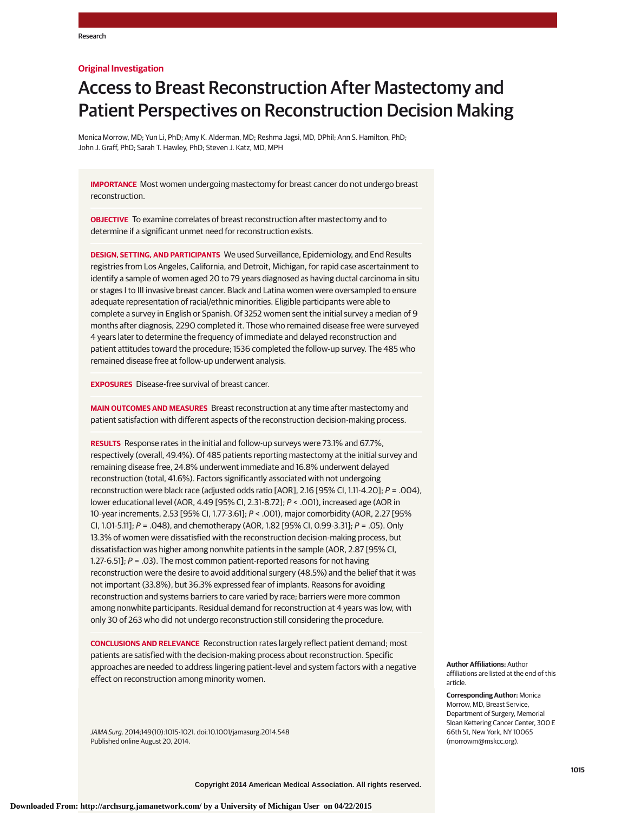## **Original Investigation**

# Access to Breast Reconstruction After Mastectomy and Patient Perspectives on Reconstruction Decision Making

Monica Morrow, MD; Yun Li, PhD; Amy K. Alderman, MD; Reshma Jagsi, MD, DPhil; Ann S. Hamilton, PhD; John J. Graff, PhD; Sarah T. Hawley, PhD; Steven J. Katz, MD, MPH

**IMPORTANCE** Most women undergoing mastectomy for breast cancer do not undergo breast reconstruction.

**OBJECTIVE** To examine correlates of breast reconstruction after mastectomy and to determine if a significant unmet need for reconstruction exists.

**DESIGN, SETTING, AND PARTICIPANTS** We used Surveillance, Epidemiology, and End Results registries from Los Angeles, California, and Detroit, Michigan, for rapid case ascertainment to identify a sample of women aged 20 to 79 years diagnosed as having ductal carcinoma in situ or stages I to III invasive breast cancer. Black and Latina women were oversampled to ensure adequate representation of racial/ethnic minorities. Eligible participants were able to complete a survey in English or Spanish. Of 3252 women sent the initial survey a median of 9 months after diagnosis, 2290 completed it. Those who remained disease free were surveyed 4 years later to determine the frequency of immediate and delayed reconstruction and patient attitudes toward the procedure; 1536 completed the follow-up survey. The 485 who remained disease free at follow-up underwent analysis.

**EXPOSURES** Disease-free survival of breast cancer.

**MAIN OUTCOMES AND MEASURES** Breast reconstruction at any time after mastectomy and patient satisfaction with different aspects of the reconstruction decision-making process.

**RESULTS** Response rates in the initial and follow-up surveys were 73.1% and 67.7%, respectively (overall, 49.4%). Of 485 patients reporting mastectomy at the initial survey and remaining disease free, 24.8% underwent immediate and 16.8% underwent delayed reconstruction (total, 41.6%). Factors significantly associated with not undergoing reconstruction were black race (adjusted odds ratio [AOR], 2.16 [95% CI, 1.11-4.20]; P = .004), lower educational level (AOR, 4.49 [95% CI, 2.31-8.72]; P < .001), increased age (AOR in 10-year increments, 2.53 [95% CI, 1.77-3.61]; P < .001), major comorbidity (AOR, 2.27 [95% CI, 1.01-5.11];  $P = .048$ ), and chemotherapy (AOR, 1.82 [95% CI, 0.99-3.31];  $P = .05$ ). Only 13.3% of women were dissatisfied with the reconstruction decision-making process, but dissatisfaction was higher among nonwhite patients in the sample (AOR, 2.87 [95% CI, 1.27-6.51];  $P = .03$ ). The most common patient-reported reasons for not having reconstruction were the desire to avoid additional surgery (48.5%) and the belief that it was not important (33.8%), but 36.3% expressed fear of implants. Reasons for avoiding reconstruction and systems barriers to care varied by race; barriers were more common among nonwhite participants. Residual demand for reconstruction at 4 years was low, with only 30 of 263 who did not undergo reconstruction still considering the procedure.

**CONCLUSIONS AND RELEVANCE** Reconstruction rates largely reflect patient demand; most patients are satisfied with the decision-making process about reconstruction. Specific approaches are needed to address lingering patient-level and system factors with a negative effect on reconstruction among minority women.

JAMA Surg. 2014;149(10):1015-1021. doi:10.1001/jamasurg.2014.548 Published online August 20, 2014.

**Author Affiliations:** Author affiliations are listed at the end of this article.

**Corresponding Author:** Monica Morrow, MD, Breast Service, Department of Surgery, Memorial Sloan Kettering Cancer Center, 300 E 66th St, New York, NY 10065 (morrowm@mskcc.org).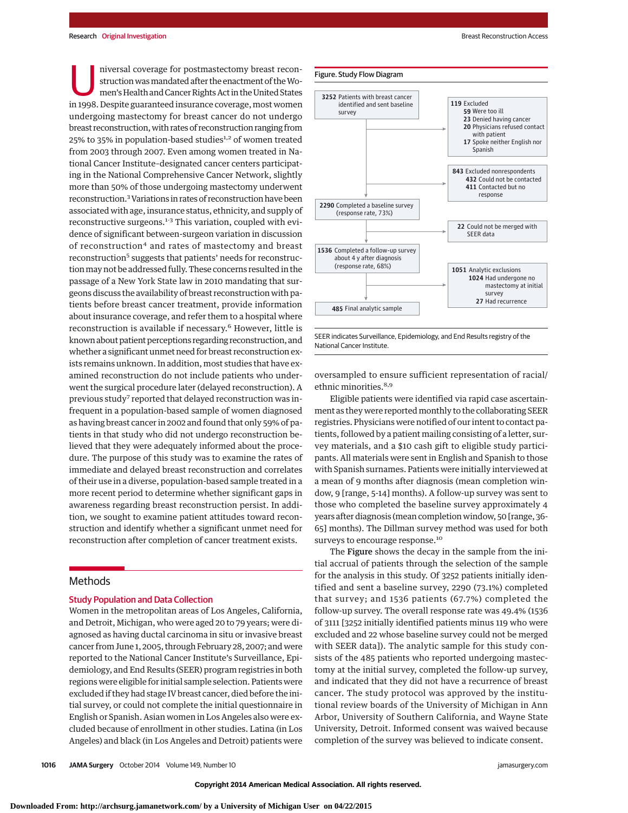niversal coverage for postmastectomy breast reconstruction was mandated after the enactment of the Women's Health and Cancer Rights Act in the United States in 1998. Despite guaranteed insurance coverage, most women undergoing mastectomy for breast cancer do not undergo breast reconstruction, with rates of reconstruction ranging from 25% to 35% in population-based studies<sup>1,2</sup> of women treated from 2003 through 2007. Even among women treated in National Cancer Institute–designated cancer centers participating in the National Comprehensive Cancer Network, slightly more than 50% of those undergoing mastectomy underwent reconstruction.3Variations in rates of reconstruction have been associated with age, insurance status, ethnicity, and supply of reconstructive surgeons.<sup>1-3</sup> This variation, coupled with evidence of significant between-surgeon variation in discussion of reconstruction<sup>4</sup> and rates of mastectomy and breast reconstruction<sup>5</sup> suggests that patients' needs for reconstruction may not be addressed fully. These concerns resulted in the passage of a New York State law in 2010 mandating that surgeons discuss the availability of breast reconstruction with patients before breast cancer treatment, provide information about insurance coverage, and refer them to a hospital where reconstruction is available if necessary.<sup>6</sup> However, little is known about patient perceptions regarding reconstruction, and whether a significant unmet need for breast reconstruction exists remains unknown. In addition, most studies that have examined reconstruction do not include patients who underwent the surgical procedure later (delayed reconstruction). A previous study<sup>7</sup> reported that delayed reconstruction was infrequent in a population-based sample of women diagnosed as having breast cancer in 2002 and found that only 59% of patients in that study who did not undergo reconstruction believed that they were adequately informed about the procedure. The purpose of this study was to examine the rates of immediate and delayed breast reconstruction and correlates of their use in a diverse, population-based sample treated in a more recent period to determine whether significant gaps in awareness regarding breast reconstruction persist. In addition, we sought to examine patient attitudes toward reconstruction and identify whether a significant unmet need for reconstruction after completion of cancer treatment exists.

## Methods

## Study Population and Data Collection

Women in the metropolitan areas of Los Angeles, California, and Detroit, Michigan, who were aged 20 to 79 years; were diagnosed as having ductal carcinoma in situ or invasive breast cancer from June 1, 2005, through February 28, 2007; and were reported to the National Cancer Institute's Surveillance, Epidemiology, and End Results (SEER) program registries in both regions were eligible for initial sample selection. Patients were excluded if they had stage IV breast cancer, died before the initial survey, or could not complete the initial questionnaire in English or Spanish. Asian women in Los Angeles also were excluded because of enrollment in other studies. Latina (in Los Angeles) and black (in Los Angeles and Detroit) patients were



SEER indicates Surveillance, Epidemiology, and End Results registry of the National Cancer Institute.

oversampled to ensure sufficient representation of racial/ ethnic minorities.<sup>8,9</sup>

Eligible patients were identified via rapid case ascertainment as they were reported monthly to the collaborating SEER registries. Physicians were notified of our intent to contact patients, followed by a patient mailing consisting of a letter, survey materials, and a \$10 cash gift to eligible study participants. All materials were sent in English and Spanish to those with Spanish surnames. Patients were initially interviewed at a mean of 9 months after diagnosis (mean completion window, 9 [range, 5-14] months). A follow-up survey was sent to those who completed the baseline survey approximately 4 years after diagnosis (mean completion window, 50 [range, 36- 65] months). The Dillman survey method was used for both surveys to encourage response.<sup>10</sup>

The Figure shows the decay in the sample from the initial accrual of patients through the selection of the sample for the analysis in this study. Of 3252 patients initially identified and sent a baseline survey, 2290 (73.1%) completed that survey; and 1536 patients (67.7%) completed the follow-up survey. The overall response rate was 49.4% (1536 of 3111 [3252 initially identified patients minus 119 who were excluded and 22 whose baseline survey could not be merged with SEER data]). The analytic sample for this study consists of the 485 patients who reported undergoing mastectomy at the initial survey, completed the follow-up survey, and indicated that they did not have a recurrence of breast cancer. The study protocol was approved by the institutional review boards of the University of Michigan in Ann Arbor, University of Southern California, and Wayne State University, Detroit. Informed consent was waived because completion of the survey was believed to indicate consent.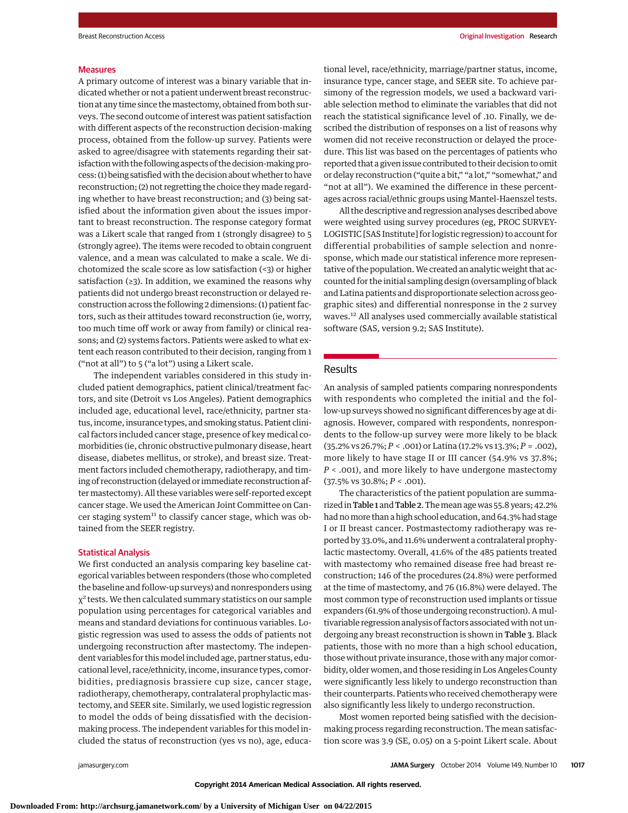#### **Measures**

A primary outcome of interest was a binary variable that indicated whether or not a patient underwent breast reconstruction at any time since themastectomy, obtained from both surveys. The second outcome of interest was patient satisfaction with different aspects of the reconstruction decision-making process, obtained from the follow-up survey. Patients were asked to agree/disagree with statements regarding their satisfaction with the following aspects of the decision-making process: (1) being satisfied with the decision about whether to have reconstruction; (2) not regretting the choice they made regarding whether to have breast reconstruction; and (3) being satisfied about the information given about the issues important to breast reconstruction. The response category format was a Likert scale that ranged from 1 (strongly disagree) to 5 (strongly agree). The items were recoded to obtain congruent valence, and a mean was calculated to make a scale. We dichotomized the scale score as low satisfaction (<3) or higher satisfaction (≥3). In addition, we examined the reasons why patients did not undergo breast reconstruction or delayed reconstruction across the following 2 dimensions: (1) patient factors, such as their attitudes toward reconstruction (ie, worry, too much time off work or away from family) or clinical reasons; and (2) systems factors. Patients were asked to what extent each reason contributed to their decision, ranging from 1 ("not at all") to 5 ("a lot") using a Likert scale.

The independent variables considered in this study included patient demographics, patient clinical/treatment factors, and site (Detroit vs Los Angeles). Patient demographics included age, educational level, race/ethnicity, partner status, income, insurance types, and smoking status. Patient clinical factors included cancer stage, presence of key medical comorbidities (ie, chronic obstructive pulmonary disease, heart disease, diabetes mellitus, or stroke), and breast size. Treatment factors included chemotherapy, radiotherapy, and timing of reconstruction (delayed or immediate reconstruction after mastectomy). All these variables were self-reported except cancer stage. We used the American Joint Committee on Cancer staging system<sup>11</sup> to classify cancer stage, which was obtained from the SEER registry.

### Statistical Analysis

We first conducted an analysis comparing key baseline categorical variables between responders (those who completed the baseline and follow-up surveys) and nonresponders using  $\chi^2$  tests. We then calculated summary statistics on our sample population using percentages for categorical variables and means and standard deviations for continuous variables. Logistic regression was used to assess the odds of patients not undergoing reconstruction after mastectomy. The independent variables for thismodel included age, partner status, educational level, race/ethnicity, income, insurance types, comorbidities, prediagnosis brassiere cup size, cancer stage, radiotherapy, chemotherapy, contralateral prophylactic mastectomy, and SEER site. Similarly, we used logistic regression to model the odds of being dissatisfied with the decisionmaking process. The independent variables for this model included the status of reconstruction (yes vs no), age, educational level, race/ethnicity, marriage/partner status, income, insurance type, cancer stage, and SEER site. To achieve parsimony of the regression models, we used a backward variable selection method to eliminate the variables that did not reach the statistical significance level of .10. Finally, we described the distribution of responses on a list of reasons why women did not receive reconstruction or delayed the procedure. This list was based on the percentages of patients who reported that a given issue contributed to their decision to omit or delay reconstruction ("quite a bit," "a lot," "somewhat," and "not at all"). We examined the difference in these percentages across racial/ethnic groups using Mantel-Haenszel tests.

All the descriptive and regression analyses described above were weighted using survey procedures (eg, PROC SURVEY-LOGISTIC [SAS Institute] for logistic regression) to account for differential probabilities of sample selection and nonresponse, which made our statistical inference more representative of the population. We created an analytic weight that accounted for the initial sampling design (oversampling of black and Latina patients and disproportionate selection across geographic sites) and differential nonresponse in the 2 survey waves.12 All analyses used commercially available statistical software (SAS, version 9.2; SAS Institute).

## Results

An analysis of sampled patients comparing nonrespondents with respondents who completed the initial and the follow-up surveys showed no significant differences by age at diagnosis. However, compared with respondents, nonrespondents to the follow-up survey were more likely to be black (35.2% vs 26.7%; *P* < .001) or Latina (17.2% vs 13.3%; *P* = .002), more likely to have stage II or III cancer (54.9% vs 37.8%; *P* < .001), and more likely to have undergone mastectomy (37.5% vs 30.8%; *P* < .001).

The characteristics of the patient population are summarized in Table 1 and Table 2. The mean age was 55.8 years; 42.2% had no more than a high school education, and 64.3% had stage I or II breast cancer. Postmastectomy radiotherapy was reported by 33.0%, and 11.6% underwent a contralateral prophylactic mastectomy. Overall, 41.6% of the 485 patients treated with mastectomy who remained disease free had breast reconstruction; 146 of the procedures (24.8%) were performed at the time of mastectomy, and 76 (16.8%) were delayed. The most common type of reconstruction used implants or tissue expanders (61.9% of those undergoing reconstruction). A multivariable regression analysis of factors associated with not undergoing any breast reconstruction is shown in Table 3. Black patients, those with no more than a high school education, those without private insurance, those with any major comorbidity, older women, and those residing in Los Angeles County were significantly less likely to undergo reconstruction than their counterparts. Patients who received chemotherapy were also significantly less likely to undergo reconstruction.

Most women reported being satisfied with the decisionmaking process regarding reconstruction. The mean satisfaction score was 3.9 (SE, 0.05) on a 5-point Likert scale. About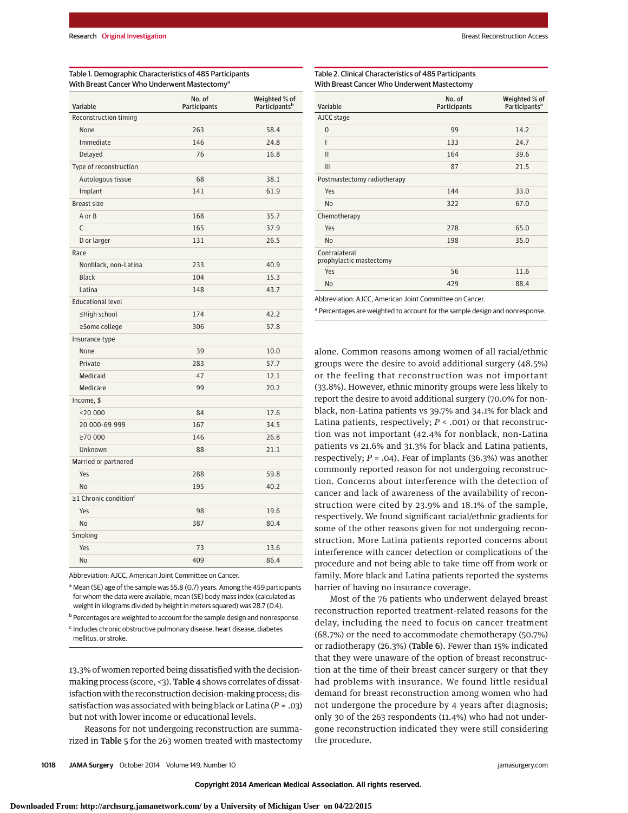| Variable                                | No. of<br>Participants | Weighted % of<br>Participants <sup>b</sup> |
|-----------------------------------------|------------------------|--------------------------------------------|
| Reconstruction timing                   |                        |                                            |
| None                                    | 263                    | 58.4                                       |
| Immediate                               | 146                    | 24.8                                       |
| Delayed                                 | 76                     | 16.8                                       |
| Type of reconstruction                  |                        |                                            |
| Autologous tissue                       | 68                     | 38.1                                       |
| Implant                                 | 141                    | 61.9                                       |
| <b>Breast size</b>                      |                        |                                            |
| A or B                                  | 168                    | 35.7                                       |
| C                                       | 165                    | 37.9                                       |
| D or larger                             | 131                    | 26.5                                       |
| Race                                    |                        |                                            |
| Nonblack, non-Latina                    | 233                    | 40.9                                       |
| <b>Black</b>                            | 104                    | 15.3                                       |
| Latina                                  | 148                    | 43.7                                       |
| <b>Educational level</b>                |                        |                                            |
| ≤High school                            | 174                    | 42.2                                       |
| ≥Some college                           | 306                    | 57.8                                       |
| Insurance type                          |                        |                                            |
| None                                    | 39                     | 10.0                                       |
| Private                                 | 283                    | 57.7                                       |
| Medicaid                                | 47                     | 12.1                                       |
| Medicare                                | 99                     | 20.2                                       |
| Income, \$                              |                        |                                            |
| $<$ 20 000                              | 84                     | 17.6                                       |
| 20 000-69 999                           | 167                    | 34.5                                       |
| ≥70 000                                 | 146                    | 26.8                                       |
| Unknown                                 | 88                     | 21.1                                       |
| Married or partnered                    |                        |                                            |
| Yes                                     | 288                    | 59.8                                       |
| <b>No</b>                               | 195                    | 40.2                                       |
| $\geq$ 1 Chronic condition <sup>c</sup> |                        |                                            |
| Yes                                     | 98                     | 19.6                                       |
| <b>No</b>                               | 387                    | 80.4                                       |
| Smoking                                 |                        |                                            |
| Yes                                     | 73                     | 13.6                                       |
| N <sub>o</sub>                          | 409                    | 86.4                                       |

### Table 1. Demographic Characteristics of 485 Participants With Breast Cancer Who Underwent Mastectomy<sup>a</sup>

Abbreviation: AJCC, American Joint Committee on Cancer.

a Mean (SE) age of the sample was 55.8 (0.7) years. Among the 459 participants for whom the data were available, mean (SE) body mass index (calculated as weight in kilograms divided by height in meters squared) was 28.7 (0.4).

<sup>b</sup> Percentages are weighted to account for the sample design and nonresponse.

<sup>c</sup> Includes chronic obstructive pulmonary disease, heart disease, diabetes mellitus, or stroke.

13.3% of women reported being dissatisfied with the decisionmaking process (score, <3). Table 4 shows correlates of dissatisfaction with the reconstruction decision-making process; dissatisfaction was associated with being black or Latina (*P* = .03) but not with lower income or educational levels.

Reasons for not undergoing reconstruction are summarized in Table 5 for the 263 women treated with mastectomy

**1018 JAMA Surgery** October 2014 Volume 149, Number 10 jamasurgery.com in the state of the state of the state of the state of the state of the state of the state of the state of the state of the state of the state of the s

Table 2. Clinical Characteristics of 485 Participants

With Breast Cancer Who Underwent Mastectomy

| Variable                                 | No. of<br><b>Participants</b> | Weighted % of<br>Participants <sup>a</sup> |
|------------------------------------------|-------------------------------|--------------------------------------------|
| AJCC stage                               |                               |                                            |
| $\Omega$                                 | 99                            | 14.2                                       |
| ı                                        | 133                           | 24.7                                       |
| $\mathbf{I}$                             | 164                           | 39.6                                       |
| III                                      | 87                            | 21.5                                       |
| Postmastectomy radiotherapy              |                               |                                            |
| Yes                                      | 144                           | 33.0                                       |
| <b>No</b>                                | 322                           | 67.0                                       |
| Chemotherapy                             |                               |                                            |
| Yes                                      | 278                           | 65.0                                       |
| <b>No</b>                                | 198                           | 35.0                                       |
| Contralateral<br>prophylactic mastectomy |                               |                                            |
| Yes                                      | 56                            | 11.6                                       |
| No                                       | 429                           | 88.4                                       |

Abbreviation: AJCC, American Joint Committee on Cancer.

<sup>a</sup> Percentages are weighted to account for the sample design and nonresponse.

alone. Common reasons among women of all racial/ethnic groups were the desire to avoid additional surgery (48.5%) or the feeling that reconstruction was not important (33.8%). However, ethnic minority groups were less likely to report the desire to avoid additional surgery (70.0% for nonblack, non-Latina patients vs 39.7% and 34.1% for black and Latina patients, respectively; *P* < .001) or that reconstruction was not important (42.4% for nonblack, non-Latina patients vs 21.6% and 31.3% for black and Latina patients, respectively;  $P = .04$ ). Fear of implants (36.3%) was another commonly reported reason for not undergoing reconstruction. Concerns about interference with the detection of cancer and lack of awareness of the availability of reconstruction were cited by 23.9% and 18.1% of the sample, respectively. We found significant racial/ethnic gradients for some of the other reasons given for not undergoing reconstruction. More Latina patients reported concerns about interference with cancer detection or complications of the procedure and not being able to take time off from work or family. More black and Latina patients reported the systems barrier of having no insurance coverage.

Most of the 76 patients who underwent delayed breast reconstruction reported treatment-related reasons for the delay, including the need to focus on cancer treatment (68.7%) or the need to accommodate chemotherapy (50.7%) or radiotherapy (26.3%) (Table 6). Fewer than 15% indicated that they were unaware of the option of breast reconstruction at the time of their breast cancer surgery or that they had problems with insurance. We found little residual demand for breast reconstruction among women who had not undergone the procedure by 4 years after diagnosis; only 30 of the 263 respondents (11.4%) who had not undergone reconstruction indicated they were still considering the procedure.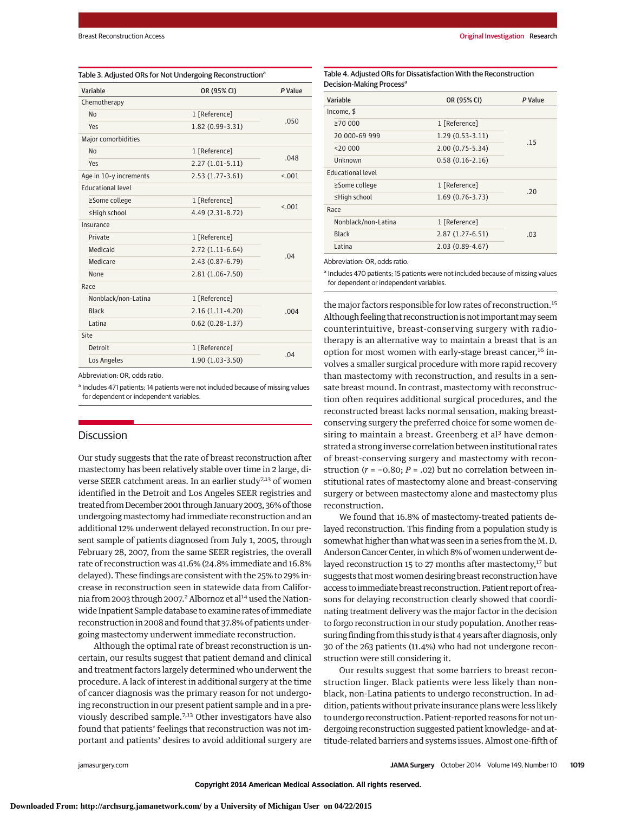| Variable                 | OR (95% CI)         | P Value |  |
|--------------------------|---------------------|---------|--|
| Chemotherapy             |                     |         |  |
| N <sub>0</sub>           | 1 [Reference]       | .050    |  |
| Yes                      | 1.82 (0.99-3.31)    |         |  |
| Major comorbidities      |                     |         |  |
| N <sub>0</sub>           | 1 [Reference]       | .048    |  |
| Yes                      | $2.27(1.01-5.11)$   |         |  |
| Age in 10-y increments   | $2.53(1.77-3.61)$   | < .001  |  |
| <b>Educational level</b> |                     |         |  |
| ≥Some college            | 1 [Reference]       | < 0.01  |  |
| ≤High school             | 4.49 (2.31-8.72)    |         |  |
| Insurance                |                     |         |  |
| Private                  | 1 [Reference]       |         |  |
| Medicaid                 | $2.72(1.11-6.64)$   |         |  |
| Medicare                 | $2.43(0.87 - 6.79)$ | .04     |  |
| None                     | $2.81(1.06 - 7.50)$ |         |  |
| Race                     |                     |         |  |
| Nonblack/non-Latina      | 1 [Reference]       | .004    |  |
| Black                    | $2.16(1.11-4.20)$   |         |  |
| Latina                   | $0.62(0.28-1.37)$   |         |  |
| Site                     |                     |         |  |
| Detroit                  | 1 [Reference]       | .04     |  |
| Los Angeles              | $1.90(1.03-3.50)$   |         |  |

Abbreviation: OR, odds ratio.

a Includes 471 patients; 14 patients were not included because of missing values for dependent or independent variables.

## **Discussion**

Our study suggests that the rate of breast reconstruction after mastectomy has been relatively stable over time in 2 large, diverse SEER catchment areas. In an earlier study<sup>7,13</sup> of women identified in the Detroit and Los Angeles SEER registries and treated from December 2001 through January 2003, 36% of those undergoing mastectomy had immediate reconstruction and an additional 12% underwent delayed reconstruction. In our present sample of patients diagnosed from July 1, 2005, through February 28, 2007, from the same SEER registries, the overall rate of reconstruction was 41.6% (24.8% immediate and 16.8% delayed). These findings are consistent with the 25% to 29% increase in reconstruction seen in statewide data from California from 2003 through 2007.<sup>2</sup> Albornoz et al<sup>14</sup> used the Nationwide Inpatient Sample database to examine rates of immediate reconstruction in 2008 and found that 37.8% of patients undergoing mastectomy underwent immediate reconstruction.

Although the optimal rate of breast reconstruction is uncertain, our results suggest that patient demand and clinical and treatment factors largely determined who underwent the procedure. A lack of interest in additional surgery at the time of cancer diagnosis was the primary reason for not undergoing reconstruction in our present patient sample and in a previously described sample.<sup>7,13</sup> Other investigators have also found that patients' feelings that reconstruction was not important and patients' desires to avoid additional surgery are

Table 4. Adjusted ORs for Dissatisfaction With the Reconstruction Decision-Making Process<sup>a</sup>

| Variable                 | OR (95% CI)         | P Value |  |
|--------------------------|---------------------|---------|--|
| Income, \$               |                     |         |  |
| $\geq 70000$             | 1 [Reference]       |         |  |
| 20 000-69 999            | $1.29(0.53-3.11)$   |         |  |
| $<$ 20 000               | $2.00(0.75 - 5.34)$ | .15     |  |
| Unknown                  | $0.58(0.16-2.16)$   |         |  |
| <b>Educational level</b> |                     |         |  |
| ≥Some college            | 1 [Reference]       |         |  |
| ≤High school             | $1.69(0.76-3.73)$   | .20     |  |
| Race                     |                     |         |  |
| Nonblack/non-Latina      | 1 [Reference]       |         |  |
| <b>Black</b>             | $2.87(1.27-6.51)$   | .03     |  |
| Latina                   | $2.03(0.89-4.67)$   |         |  |

Abbreviation: OR, odds ratio.

<sup>a</sup> Includes 470 patients; 15 patients were not included because of missing values for dependent or independent variables.

the major factors responsible for low rates of reconstruction.<sup>15</sup> Although feeling that reconstruction is not important may seem counterintuitive, breast-conserving surgery with radiotherapy is an alternative way to maintain a breast that is an option for most women with early-stage breast cancer, $16$  involves a smaller surgical procedure with more rapid recovery than mastectomy with reconstruction, and results in a sensate breast mound. In contrast, mastectomy with reconstruction often requires additional surgical procedures, and the reconstructed breast lacks normal sensation, making breastconserving surgery the preferred choice for some women desiring to maintain a breast. Greenberg et al<sup>3</sup> have demonstrated a strong inverse correlation between institutional rates of breast-conserving surgery and mastectomy with reconstruction (*r* = −0.80; *P* = .02) but no correlation between institutional rates of mastectomy alone and breast-conserving surgery or between mastectomy alone and mastectomy plus reconstruction.

We found that 16.8% of mastectomy-treated patients delayed reconstruction. This finding from a population study is somewhat higher than what was seen in a series from the M. D. Anderson Cancer Center, in which 8% of women underwent delayed reconstruction 15 to 27 months after mastectomy,<sup>17</sup> but suggests that most women desiring breast reconstruction have access to immediate breast reconstruction. Patient report of reasons for delaying reconstruction clearly showed that coordinating treatment delivery was the major factor in the decision to forgo reconstruction in our study population. Another reassuring finding from this study is that 4 years after diagnosis, only 30 of the 263 patients (11.4%) who had not undergone reconstruction were still considering it.

Our results suggest that some barriers to breast reconstruction linger. Black patients were less likely than nonblack, non-Latina patients to undergo reconstruction. In addition, patients without private insurance plans were less likely to undergo reconstruction. Patient-reported reasons for not undergoing reconstruction suggested patient knowledge- and attitude-related barriers and systems issues. Almost one-fifth of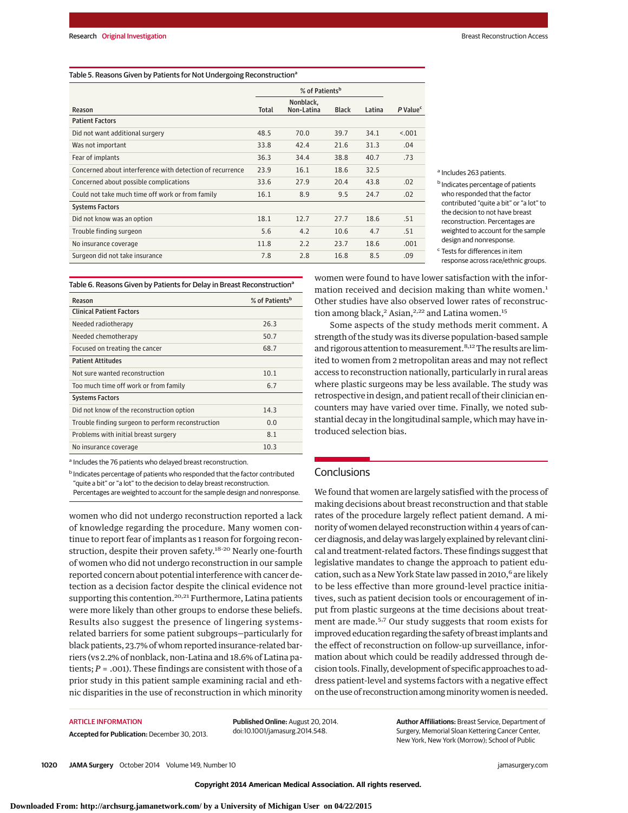#### Table 5. Reasons Given by Patients for Not Undergoing Reconstruction<sup>a</sup>

|                                                           | % of Patients <sup>b</sup> |                         |              |        |                        |
|-----------------------------------------------------------|----------------------------|-------------------------|--------------|--------|------------------------|
| Reason                                                    | <b>Total</b>               | Nonblack,<br>Non-Latina | <b>Black</b> | Latina | $P$ Value <sup>c</sup> |
| <b>Patient Factors</b>                                    |                            |                         |              |        |                        |
| Did not want additional surgery                           | 48.5                       | 70.0                    | 39.7         | 34.1   | < 0.01                 |
| Was not important                                         | 33.8                       | 42.4                    | 21.6         | 31.3   | .04                    |
| Fear of implants                                          | 36.3                       | 34.4                    | 38.8         | 40.7   | .73                    |
| Concerned about interference with detection of recurrence | 23.9                       | 16.1                    | 18.6         | 32.5   |                        |
| Concerned about possible complications                    | 33.6                       | 27.9                    | 20.4         | 43.8   | .02                    |
| Could not take much time off work or from family          | 16.1                       | 8.9                     | 9.5          | 24.7   | .02                    |
| <b>Systems Factors</b>                                    |                            |                         |              |        |                        |
| Did not know was an option                                | 18.1                       | 12.7                    | 27.7         | 18.6   | .51                    |
| Trouble finding surgeon                                   | 5.6                        | 4.2                     | 10.6         | 4.7    | .51                    |
| No insurance coverage                                     | 11.8                       | 2.2                     | 23.7         | 18.6   | .001                   |
| Surgeon did not take insurance                            | 7.8                        | 2.8                     | 16.8         | 8.5    | .09                    |

a Includes 263 patients.

**b** Indicates percentage of patients who responded that the factor contributed "quite a bit" or "a lot" to the decision to not have breast reconstruction. Percentages are weighted to account for the sample design and nonresponse.

<sup>c</sup> Tests for differences in item response across race/ethnic groups.

Table 6. Reasons Given by Patients for Delay in Breast Reconstruction<sup>a</sup>

| Reason                                            | % of Patients <sup>b</sup> |
|---------------------------------------------------|----------------------------|
| <b>Clinical Patient Factors</b>                   |                            |
| Needed radiotherapy                               | 26.3                       |
| Needed chemotherapy                               | 50.7                       |
| Focused on treating the cancer                    | 68.7                       |
| <b>Patient Attitudes</b>                          |                            |
| Not sure wanted reconstruction                    | 10.1                       |
| Too much time off work or from family             | 6.7                        |
| <b>Systems Factors</b>                            |                            |
| Did not know of the reconstruction option         | 14.3                       |
| Trouble finding surgeon to perform reconstruction | 0.0                        |
| Problems with initial breast surgery              | 8.1                        |
| No insurance coverage                             | 10.3                       |

a Includes the 76 patients who delayed breast reconstruction.

**b** Indicates percentage of patients who responded that the factor contributed "quite a bit" or "a lot" to the decision to delay breast reconstruction. Percentages are weighted to account for the sample design and nonresponse.

women who did not undergo reconstruction reported a lack of knowledge regarding the procedure. Many women continue to report fear of implants as 1 reason for forgoing reconstruction, despite their proven safety.<sup>18-20</sup> Nearly one-fourth of women who did not undergo reconstruction in our sample reported concern about potential interference with cancer detection as a decision factor despite the clinical evidence not supporting this contention.<sup>20,21</sup> Furthermore, Latina patients were more likely than other groups to endorse these beliefs. Results also suggest the presence of lingering systemsrelated barriers for some patient subgroups—particularly for black patients, 23.7% of whom reported insurance-related barriers (vs 2.2% of nonblack, non-Latina and 18.6% of Latina patients; *P* = .001). These findings are consistent with those of a prior study in this patient sample examining racial and ethnic disparities in the use of reconstruction in which minority

women were found to have lower satisfaction with the information received and decision making than white women.<sup>1</sup> Other studies have also observed lower rates of reconstruction among black,<sup>2</sup> Asian,<sup>2,22</sup> and Latina women.<sup>15</sup>

Some aspects of the study methods merit comment. A strength of the study was its diverse population-based sample and rigorous attention to measurement.<sup>8,12</sup> The results are limited to women from 2 metropolitan areas and may not reflect access to reconstruction nationally, particularly in rural areas where plastic surgeons may be less available. The study was retrospective in design, and patient recall of their clinician encounters may have varied over time. Finally, we noted substantial decay in the longitudinal sample, which may have introduced selection bias.

## **Conclusions**

We found that women are largely satisfied with the process of making decisions about breast reconstruction and that stable rates of the procedure largely reflect patient demand. A minority of women delayed reconstruction within 4 years of cancer diagnosis, and delay was largely explained by relevant clinical and treatment-related factors. These findings suggest that legislative mandates to change the approach to patient education, such as a New York State law passed in 2010,<sup>6</sup> are likely to be less effective than more ground-level practice initiatives, such as patient decision tools or encouragement of input from plastic surgeons at the time decisions about treatment are made.5,7 Our study suggests that room exists for improved education regarding the safety of breast implants and the effect of reconstruction on follow-up surveillance, information about which could be readily addressed through decision tools. Finally, development of specific approaches to address patient-level and systems factors with a negative effect on the use of reconstruction among minority women is needed.

## **ARTICLE INFORMATION**

**Accepted for Publication:** December 30, 2013.

**Published Online:** August 20, 2014. doi:10.1001/jamasurg.2014.548.

**Author Affiliations:** Breast Service, Department of Surgery, Memorial Sloan Kettering Cancer Center, New York, New York (Morrow); School of Public